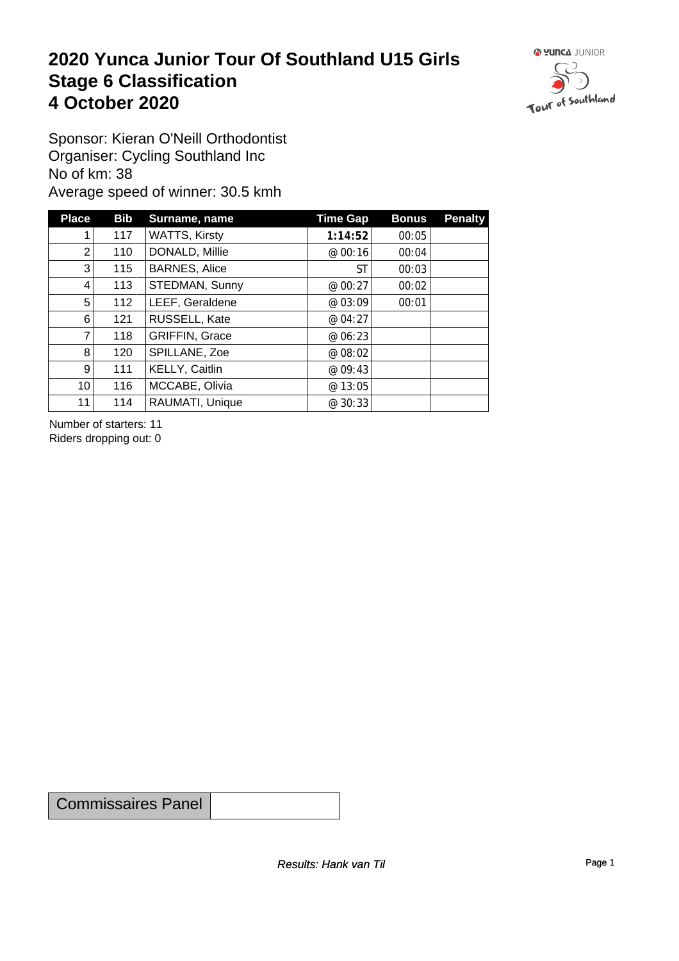#### **2020 Yunca Junior Tour Of Southland U15 Girls** Stage 6 Classification<br>4 October 2020 **4 October 2020**



Sponsor: Kieran O'Neill Orthodontist Organiser: Cycling Southland Inc No of km: 38 Average speed of winner: 30.5 kmh

| <b>Place</b>    | <b>Bib</b> | Surname, name         | <b>Time Gap</b> | <b>Bonus</b> | <b>Penalty</b> |
|-----------------|------------|-----------------------|-----------------|--------------|----------------|
|                 | 117        | <b>WATTS, Kirsty</b>  | 1:14:52         | 00:05        |                |
| $\overline{2}$  | 110        | DONALD, Millie        | @ 00:16         | 00:04        |                |
| $3^{\circ}$     | 115        | <b>BARNES, Alice</b>  | <b>ST</b>       | 00:03        |                |
| 4               | 113        | STEDMAN, Sunny        | @ 00:27         | 00:02        |                |
| 5               | 112        | LEEF, Geraldene       | @ 03:09         | 00:01        |                |
| 6               | 121        | RUSSELL, Kate         | @ 04:27         |              |                |
| 7               | 118        | <b>GRIFFIN, Grace</b> | @ 06:23         |              |                |
| 8               | 120        | SPILLANE, Zoe         | @ 08:02         |              |                |
| $\vert 9 \vert$ | 111        | KELLY, Caitlin        | @ 09:43         |              |                |
| 10 <sup>1</sup> | 116        | MCCABE, Olivia        | @ 13:05         |              |                |
| 11              | 114        | RAUMATI, Unique       | @30:33          |              |                |

Number of starters: 11 Riders dropping out: 0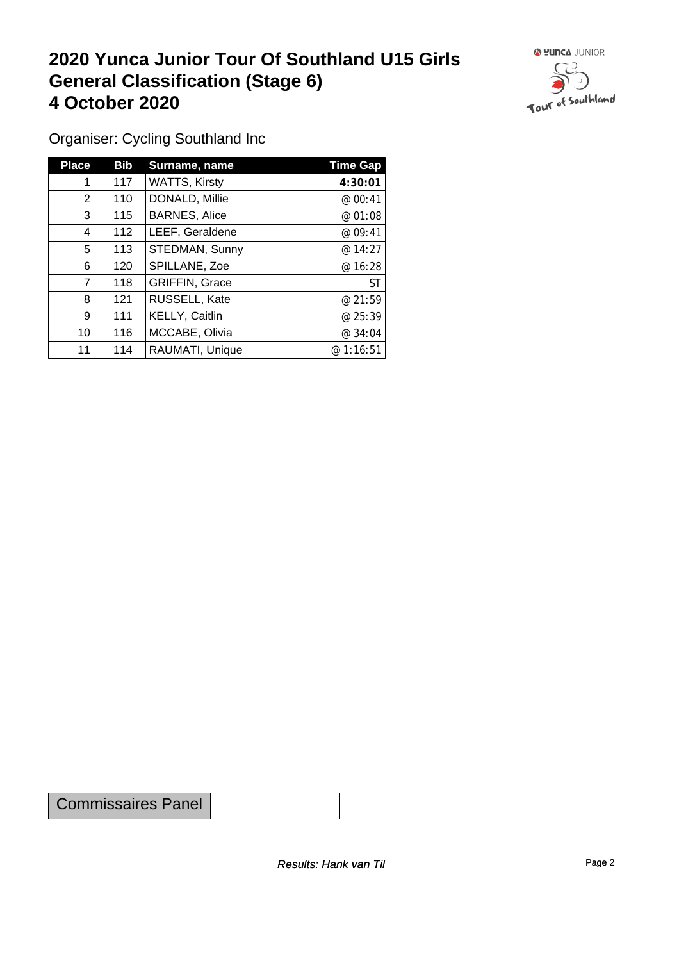### **2020 Yunca Junior Tour Of Southland U15 Girls General Classification (Stage 6)**<br>
4 October 2020 **4 October 2020**



Organiser: Cycling Southland Inc

| <b>Place</b>    | <b>Bib</b> | Surname, name        | <b>Time Gap</b> |
|-----------------|------------|----------------------|-----------------|
|                 | 117        | <b>WATTS, Kirsty</b> | 4:30:01         |
| $\overline{2}$  | 110        | DONALD, Millie       | @ 00:41         |
| 3               | 115        | <b>BARNES, Alice</b> | @ 01:08         |
| $\overline{4}$  | 112        | LEEF, Geraldene      | @ 09:41         |
| 5               | 113        | STEDMAN, Sunny       | @14:27          |
| 6               | 120        | SPILLANE, Zoe        | @ 16:28         |
| $\overline{7}$  | 118        | GRIFFIN, Grace       | <b>ST</b>       |
| 8               | 121        | RUSSELL, Kate        | @ 21:59         |
| 9               | 111        | KELLY, Caitlin       | @ 25:39         |
| 10 <sup>1</sup> | 116        | MCCABE, Olivia       | @ 34:04         |
| 11              | 114        | RAUMATI, Unique      | @1:16:51        |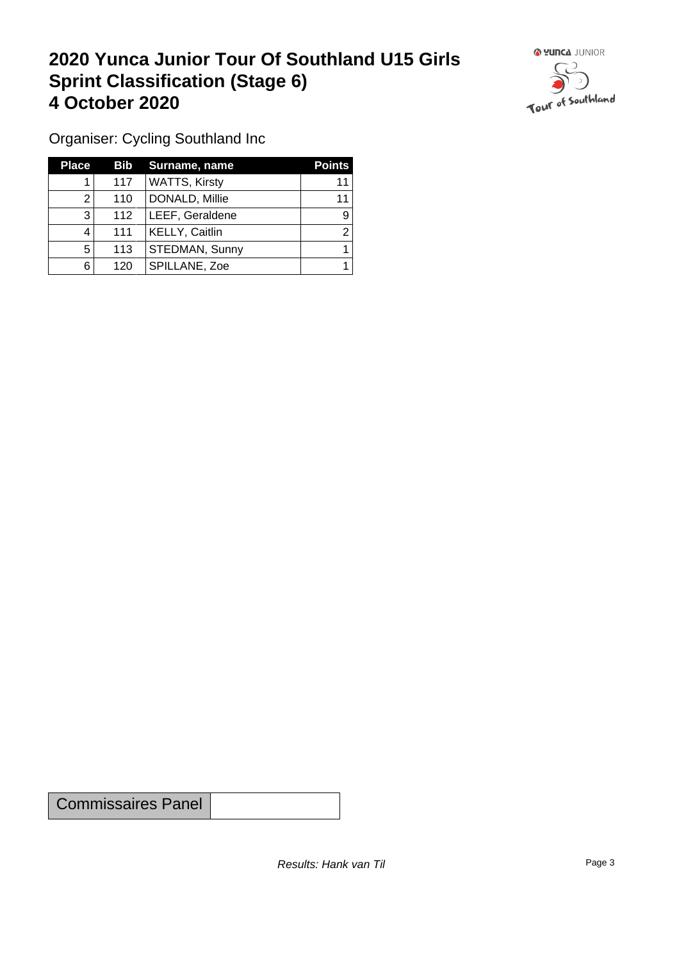### **2020 Yunca Junior Tour Of Southland U15 Girls Sprint Classification (Stage 6) 4 October 2020**



Organiser: Cycling Southland Inc

| <b>Place</b> | <b>Bib</b> | Surname, name        | <b>Points</b> |
|--------------|------------|----------------------|---------------|
|              | 117        | <b>WATTS, Kirsty</b> | 11            |
|              | 110        | DONALD, Millie       | 11            |
| 3            | 112        | LEEF, Geraldene      | 9             |
| 4            | 111        | KELLY, Caitlin       | ົ             |
| 5            | 113        | STEDMAN, Sunny       |               |
| 6            | 120        | SPILLANE, Zoe        |               |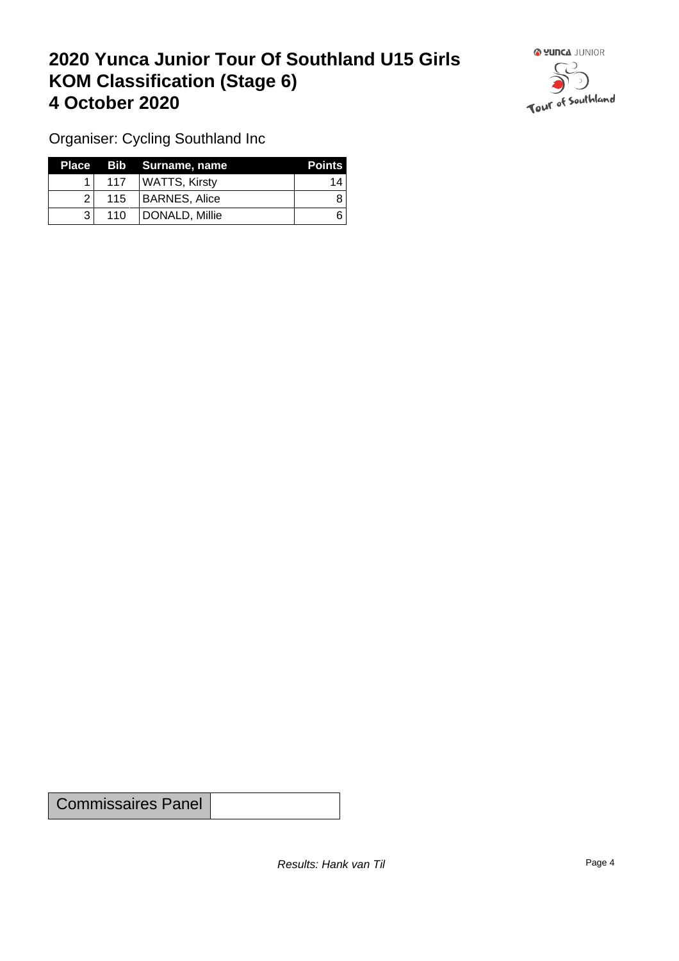## **2020 Yunca Junior Tour Of Southland U15 Girls KOM Classification (Stage 6) 4 October 2020 19 To 2020 19 To 2020 19 To 2020**



Organiser: Cycling Southland Inc

|     |     | Place Bib Surname, name | <b>Points</b> |
|-----|-----|-------------------------|---------------|
|     | 117 | WATTS, Kirsty           | 14            |
| 21  |     | 115   BARNES, Alice     |               |
| ? । | 110 | DONALD, Millie          |               |